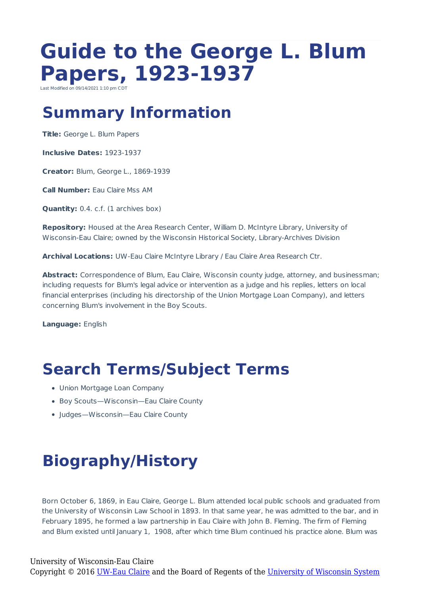# **Guide to the George L. Blum Papers, 1923-1937**

ast Modified on 09/14/2021 1:10 pm CD

#### **Summary Information**

**Title:** George L. Blum Papers

**Inclusive Dates:** 1923-1937

**Creator:** Blum, George L., 1869-1939

**Call Number:** Eau Claire Mss AM

**Quantity:** 0.4. c.f. (1 archives box)

**Repository:** Housed at the Area Research Center, William D. McIntyre Library, University of Wisconsin-Eau Claire; owned by the Wisconsin Historical Society, Library-Archives Division

**Archival Locations:** UW-Eau Claire McIntyre Library / Eau Claire Area Research Ctr.

**Abstract:** Correspondence of Blum, Eau Claire, Wisconsin county judge, attorney, and businessman; including requests for Blum's legal advice or intervention as a judge and his replies, letters on local financial enterprises (including his directorship of the Union Mortgage Loan Company), and letters concerning Blum's involvement in the Boy Scouts.

**Language:** English

### **Search Terms/Subject Terms**

- Union Mortgage Loan Company
- Boy Scouts—Wisconsin—Eau Claire County
- Judges—Wisconsin—Eau Claire County

## **Biography/History**

Born October 6, 1869, in Eau Claire, George L. Blum attended local public schools and graduated from the University of Wisconsin Law School in 1893. In that same year, he was admitted to the bar, and in February 1895, he formed a law partnership in Eau Claire with John B. Fleming. The firm of Fleming and Blum existed until January 1, 1908, after which time Blum continued his practice alone. Blum was

#### University of Wisconsin-Eau Claire

Copyright © 2016 [UW-Eau Claire](http://www.uwec.edu) and the Board of Regents of the [University of Wisconsin System](http://www.uwsa.edu/)